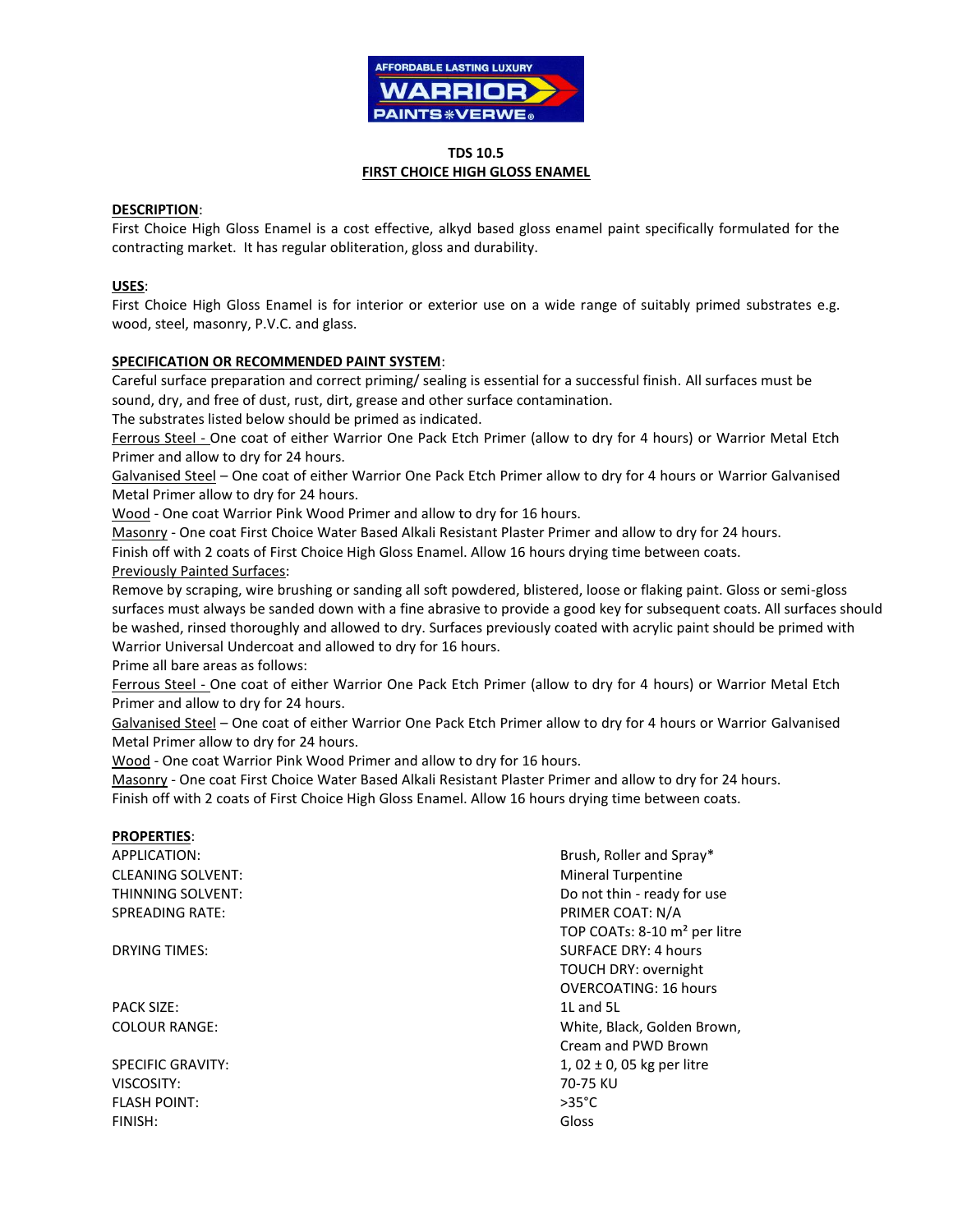

## **TDS 10.5 FIRST CHOICE HIGH GLOSS ENAMEL**

## **DESCRIPTION**:

First Choice High Gloss Enamel is a cost effective, alkyd based gloss enamel paint specifically formulated for the contracting market. It has regular obliteration, gloss and durability.

# **USES**:

First Choice High Gloss Enamel is for interior or exterior use on a wide range of suitably primed substrates e.g. wood, steel, masonry, P.V.C. and glass.

## **SPECIFICATION OR RECOMMENDED PAINT SYSTEM**:

Careful surface preparation and correct priming/ sealing is essential for a successful finish. All surfaces must be sound, dry, and free of dust, rust, dirt, grease and other surface contamination.

The substrates listed below should be primed as indicated.

Ferrous Steel - One coat of either Warrior One Pack Etch Primer (allow to dry for 4 hours) or Warrior Metal Etch Primer and allow to dry for 24 hours.

Galvanised Steel – One coat of either Warrior One Pack Etch Primer allow to dry for 4 hours or Warrior Galvanised Metal Primer allow to dry for 24 hours.

Wood - One coat Warrior Pink Wood Primer and allow to dry for 16 hours.

Masonry - One coat First Choice Water Based Alkali Resistant Plaster Primer and allow to dry for 24 hours.

Finish off with 2 coats of First Choice High Gloss Enamel. Allow 16 hours drying time between coats.

## Previously Painted Surfaces:

Remove by scraping, wire brushing or sanding all soft powdered, blistered, loose or flaking paint. Gloss or semi-gloss surfaces must always be sanded down with a fine abrasive to provide a good key for subsequent coats. All surfaces should be washed, rinsed thoroughly and allowed to dry. Surfaces previously coated with acrylic paint should be primed with Warrior Universal Undercoat and allowed to dry for 16 hours.

Prime all bare areas as follows:

Ferrous Steel - One coat of either Warrior One Pack Etch Primer (allow to dry for 4 hours) or Warrior Metal Etch Primer and allow to dry for 24 hours.

Galvanised Steel – One coat of either Warrior One Pack Etch Primer allow to dry for 4 hours or Warrior Galvanised Metal Primer allow to dry for 24 hours.

Wood - One coat Warrior Pink Wood Primer and allow to dry for 16 hours.

Masonry - One coat First Choice Water Based Alkali Resistant Plaster Primer and allow to dry for 24 hours. Finish off with 2 coats of First Choice High Gloss Enamel. Allow 16 hours drying time between coats.

#### **PROPERTIES**:

CLEANING SOLVENT: The CLEANING SOLVENT: SPREADING RATE: THE SPREADING RATE: THE SPREADING RATE:

PACK SIZE: 1L and 5L

VISCOSITY: 70-75 KU FLASH POINT: >35°C FINISH: Gloss

APPLICATION: **Brush, Roller and Spray\*** THINNING SOLVENT: THINNING SOLVENT: TOP COATs: 8-10 m² per litre **DRYING TIMES:** SURFACE DRY: 4 hours TOUCH DRY: overnight OVERCOATING: 16 hours COLOUR RANGE: White, Black, Golden Brown, Cream and PWD Brown SPECIFIC GRAVITY:  $1, 02 \pm 0, 05$  kg per litre